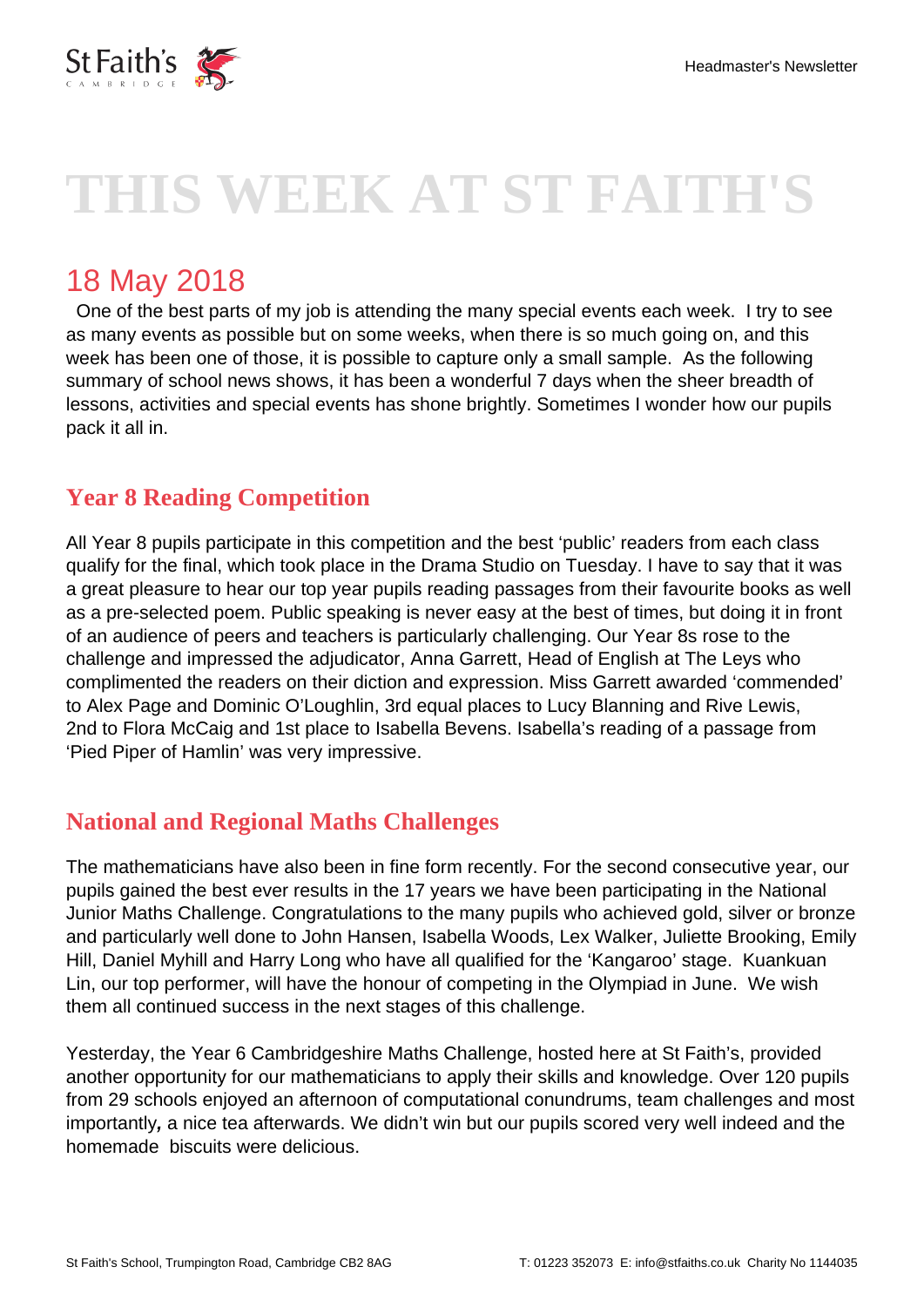

# **THIS WEEK AT ST FAITH'S**

# 18 May 2018

 One of the best parts of my job is attending the many special events each week. I try to see as many events as possible but on some weeks, when there is so much going on, and this week has been one of those, it is possible to capture only a small sample. As the following summary of school news shows, it has been a wonderful 7 days when the sheer breadth of lessons, activities and special events has shone brightly. Sometimes I wonder how our pupils pack it all in.

### **Year 8 Reading Competition**

All Year 8 pupils participate in this competition and the best 'public' readers from each class qualify for the final, which took place in the Drama Studio on Tuesday. I have to say that it was a great pleasure to hear our top year pupils reading passages from their favourite books as well as a pre-selected poem. Public speaking is never easy at the best of times, but doing it in front of an audience of peers and teachers is particularly challenging. Our Year 8s rose to the challenge and impressed the adjudicator, Anna Garrett, Head of English at The Leys who complimented the readers on their diction and expression. Miss Garrett awarded 'commended' to Alex Page and Dominic O'Loughlin, 3rd equal places to Lucy Blanning and Rive Lewis, 2nd to Flora McCaig and 1st place to Isabella Bevens. Isabella's reading of a passage from 'Pied Piper of Hamlin' was very impressive.

# **National and Regional Maths Challenges**

The mathematicians have also been in fine form recently. For the second consecutive year, our pupils gained the best ever results in the 17 years we have been participating in the National Junior Maths Challenge. Congratulations to the many pupils who achieved gold, silver or bronze and particularly well done to John Hansen, Isabella Woods, Lex Walker, Juliette Brooking, Emily Hill, Daniel Myhill and Harry Long who have all qualified for the 'Kangaroo' stage. Kuankuan Lin, our top performer, will have the honour of competing in the Olympiad in June. We wish them all continued success in the next stages of this challenge.

Yesterday, the Year 6 Cambridgeshire Maths Challenge, hosted here at St Faith's, provided another opportunity for our mathematicians to apply their skills and knowledge. Over 120 pupils from 29 schools enjoyed an afternoon of computational conundrums, team challenges and most importantly**,** a nice tea afterwards. We didn't win but our pupils scored very well indeed and the homemade biscuits were delicious.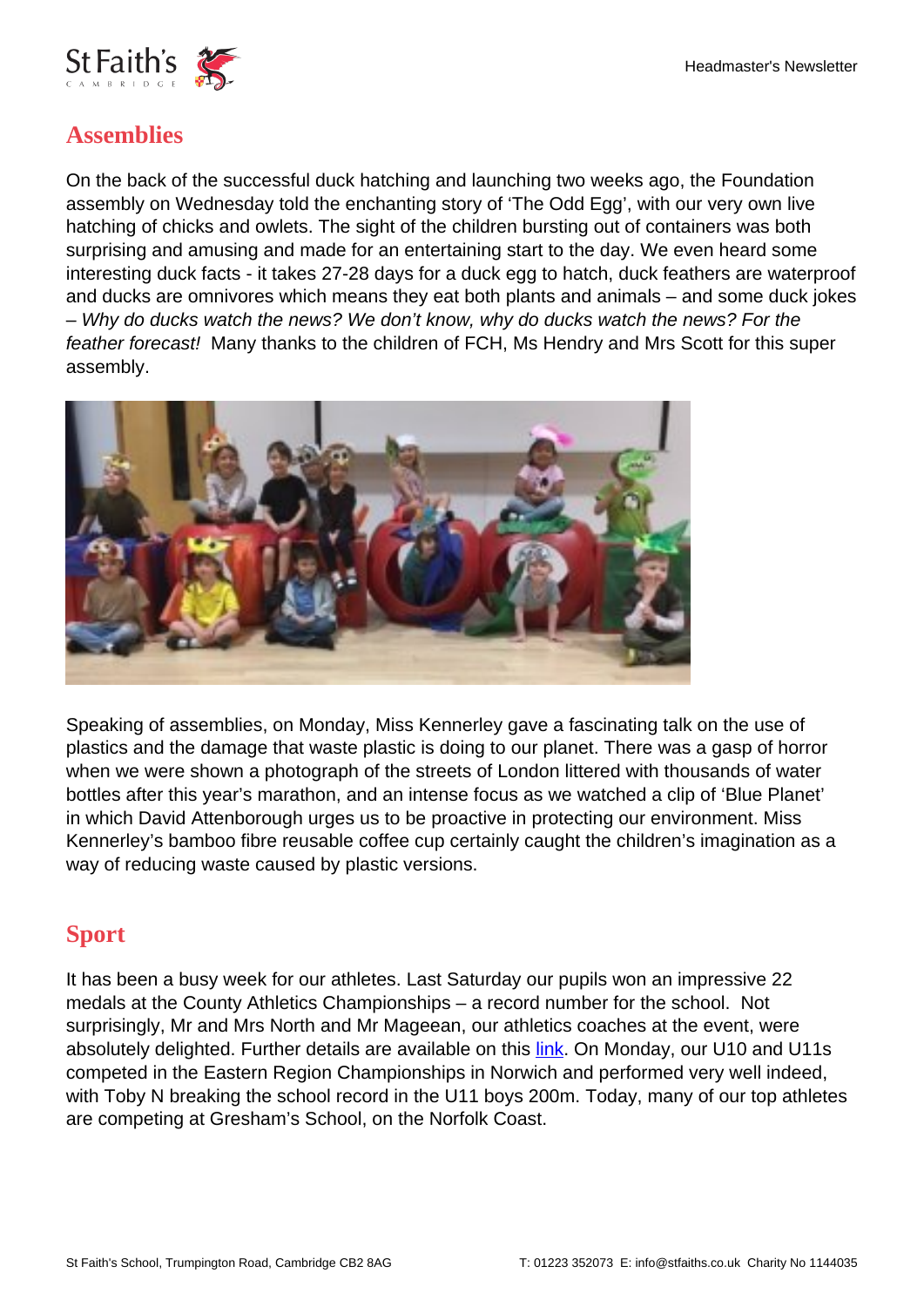

## **Assemblies**

On the back of the successful duck hatching and launching two weeks ago, the Foundation assembly on Wednesday told the enchanting story of 'The Odd Egg', with our very own live hatching of chicks and owlets. The sight of the children bursting out of containers was both surprising and amusing and made for an entertaining start to the day. We even heard some interesting duck facts - it takes 27-28 days for a duck egg to hatch, duck feathers are waterproof and ducks are omnivores which means they eat both plants and animals – and some duck jokes – Why do ducks watch the news? We don't know, why do ducks watch the news? For the feather forecast! Many thanks to the children of FCH, Ms Hendry and Mrs Scott for this super assembly.



Speaking of assemblies, on Monday, Miss Kennerley gave a fascinating talk on the use of plastics and the damage that waste plastic is doing to our planet. There was a gasp of horror when we were shown a photograph of the streets of London littered with thousands of water bottles after this year's marathon, and an intense focus as we watched a clip of 'Blue Planet' in which David Attenborough urges us to be proactive in protecting our environment. Miss Kennerley's bamboo fibre reusable coffee cup certainly caught the children's imagination as a way of reducing waste caused by plastic versions.

#### **Sport**

It has been a busy week for our athletes. Last Saturday our pupils won an impressive 22 medals at the County Athletics Championships – a record number for the school. Not surprisingly, Mr and Mrs North and Mr Mageean, our athletics coaches at the event, were absolutely delighted. Further details are available on this [link](https://www.stfaiths.co.uk/wp-content/uploads/2018/05/County-Athletlics.pdf). On Monday, our U10 and U11s competed in the Eastern Region Championships in Norwich and performed very well indeed, with Toby N breaking the school record in the U11 boys 200m. Today, many of our top athletes are competing at Gresham's School, on the Norfolk Coast.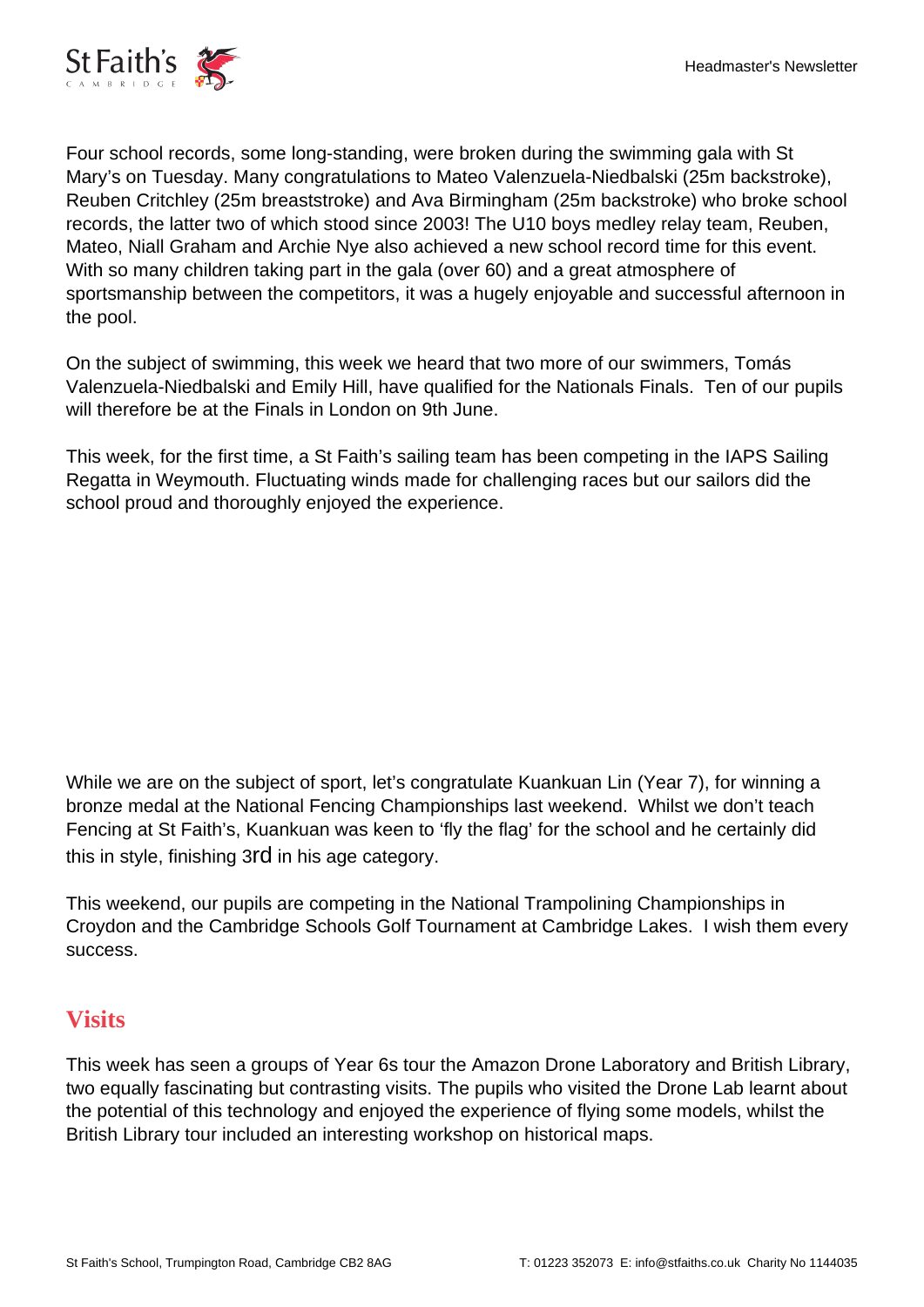

Four school records, some long-standing, were broken during the swimming gala with St Mary's on Tuesday. Many congratulations to Mateo Valenzuela-Niedbalski (25m backstroke), Reuben Critchley (25m breaststroke) and Ava Birmingham (25m backstroke) who broke school records, the latter two of which stood since 2003! The U10 boys medley relay team, Reuben, Mateo, Niall Graham and Archie Nye also achieved a new school record time for this event. With so many children taking part in the gala (over 60) and a great atmosphere of sportsmanship between the competitors, it was a hugely enjoyable and successful afternoon in the pool.

On the subject of swimming, this week we heard that two more of our swimmers, Tomás Valenzuela-Niedbalski and Emily Hill, have qualified for the Nationals Finals. Ten of our pupils will therefore be at the Finals in London on 9th June.

This week, for the first time, a St Faith's sailing team has been competing in the IAPS Sailing Regatta in Weymouth. Fluctuating winds made for challenging races but our sailors did the school proud and thoroughly enjoyed the experience.

While we are on the subject of sport, let's congratulate Kuankuan Lin (Year 7), for winning a bronze medal at the National Fencing Championships last weekend. Whilst we don't teach Fencing at St Faith's, Kuankuan was keen to 'fly the flag' for the school and he certainly did this in style, finishing 3rd in his age category.

This weekend, our pupils are competing in the National Trampolining Championships in Croydon and the Cambridge Schools Golf Tournament at Cambridge Lakes. I wish them every success.

#### **Visits**

This week has seen a groups of Year 6s tour the Amazon Drone Laboratory and British Library, two equally fascinating but contrasting visits. The pupils who visited the Drone Lab learnt about the potential of this technology and enjoyed the experience of flying some models, whilst the British Library tour included an interesting workshop on historical maps.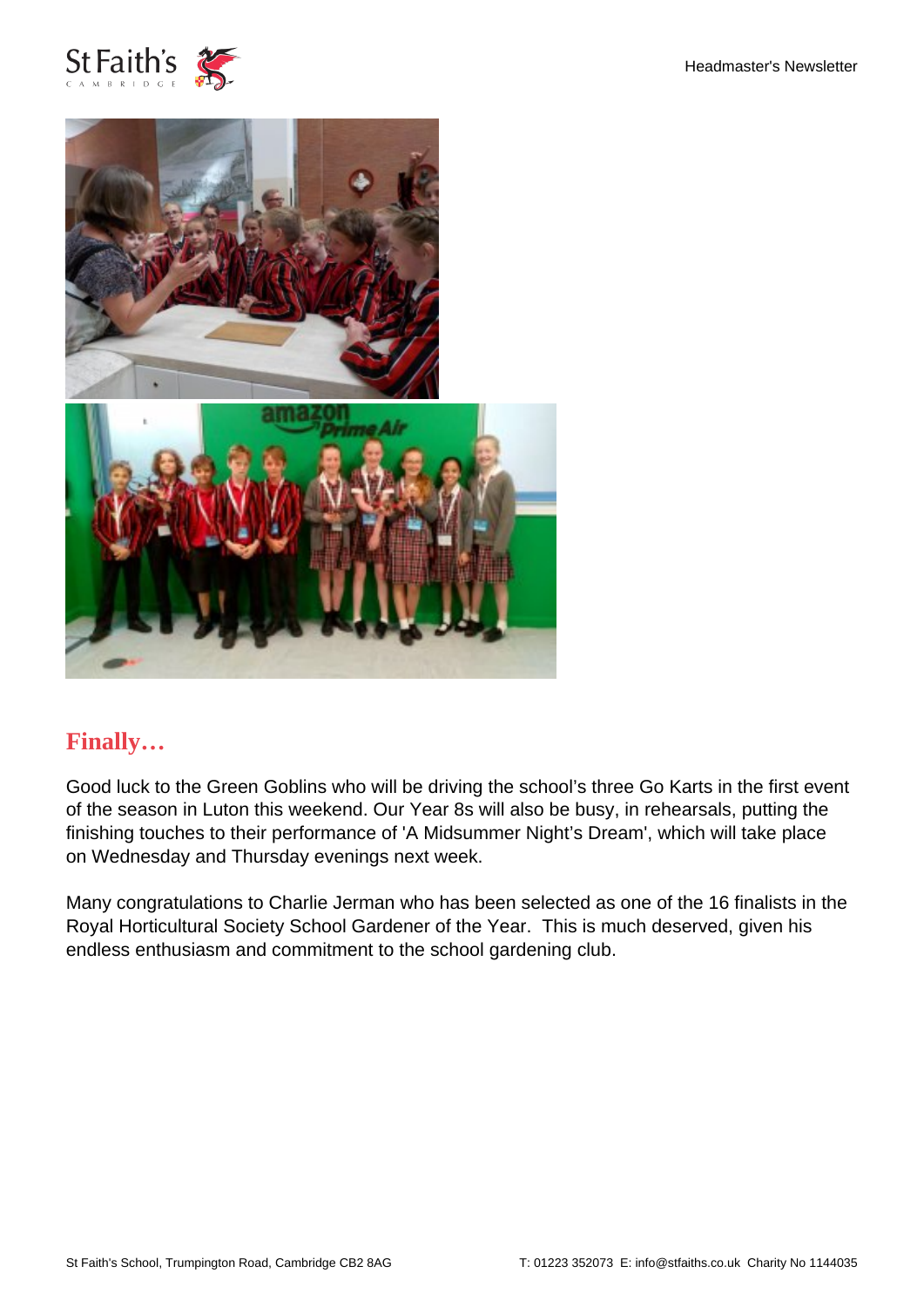



#### **Finally…**

Good luck to the Green Goblins who will be driving the school's three Go Karts in the first event of the season in Luton this weekend. Our Year 8s will also be busy, in rehearsals, putting the finishing touches to their performance of 'A Midsummer Night's Dream', which will take place on Wednesday and Thursday evenings next week.

Many congratulations to Charlie Jerman who has been selected as one of the 16 finalists in the Royal Horticultural Society School Gardener of the Year. This is much deserved, given his endless enthusiasm and commitment to the school gardening club.